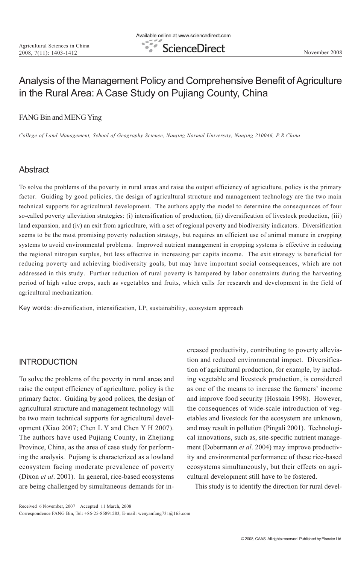## Analysis of the Management Policy and Comprehensive Benefit of Agriculture in the Rural Area: A Case Study on Pujiang County, China

#### FANG Bin and MENG Ying

College of Land Management, School of Geography Science, Nanjing Normal University, Nanjing 210046, P.R.China

## Abstract

To solve the problems of the poverty in rural areas and raise the output efficiency of agriculture, policy is the primary factor. Guiding by good policies, the design of agricultural structure and management technology are the two main technical supports for agricultural development. The authors apply the model to determine the consequences of four so-called poverty alleviation strategies: (i) intensification of production, (ii) diversification of livestock production, (iii) land expansion, and (iv) an exit from agriculture, with a set of regional poverty and biodiversity indicators. Diversification seems to be the most promising poverty reduction strategy, but requires an efficient use of animal manure in cropping systems to avoid environmental problems. Improved nutrient management in cropping systems is effective in reducing the regional nitrogen surplus, but less effective in increasing per capita income. The exit strategy is beneficial for reducing poverty and achieving biodiversity goals, but may have important social consequences, which are not addressed in this study. Further reduction of rural poverty is hampered by labor constraints during the harvesting period of high value crops, such as vegetables and fruits, which calls for research and development in the field of agricultural mechanization.

Key words: diversification, intensification, LP, sustainability, ecosystem approach

### **INTRODUCTION**

To solve the problems of the poverty in rural areas and raise the output efficiency of agriculture, policy is the primary factor. Guiding by good polices, the design of agricultural structure and management technology will be two main technical supports for agricultural development (Xiao 2007; Chen L Y and Chen Y H 2007). The authors have used Pujiang County, in Zhejiang Province, China, as the area of case study for performing the analysis. Pujiang is characterized as a lowland ecosystem facing moderate prevalence of poverty (Dixon et al. 2001). In general, rice-based ecosystems are being challenged by simultaneous demands for increased productivity, contributing to poverty alleviation and reduced environmental impact. Diversification of agricultural production, for example, by including vegetable and livestock production, is considered as one of the means to increase the farmers' income and improve food security (Hossain 1998). However, the consequences of wide-scale introduction of vegetables and livestock for the ecosystem are unknown, and may result in pollution (Pingali 2001). Technological innovations, such as, site-specific nutrient management (Dobermann et al. 2004) may improve productivity and environmental performance of these rice-based ecosystems simultaneously, but their effects on agricultural development still have to be fostered.

This study is to identify the direction for rural devel-

Received 6 November, 2007 Accepted 11 March, 2008

Correspondence FANG Bin, Tel: +86-25-85891283, E-mail: wenyanfang731@163.com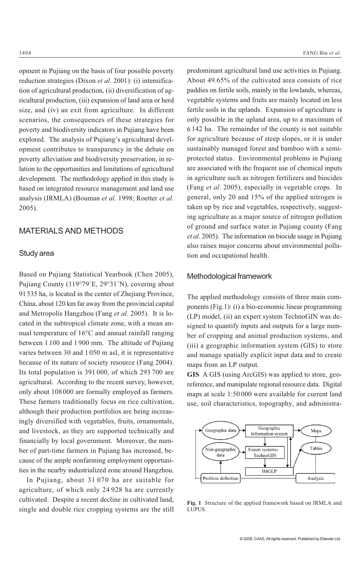opment in Pujiang on the basis of four possible poverty reduction strategies (Dixon *et al.* 2001): (i) intensification of agricultural production, (ii) diversification of agricultural production, (iii) expansion of land area or herd size, and (iv) an exit from agriculture. In different scenarios, the consequences of these strategies for poverty and biodiversity indicators in Pujiang have been explored. The analysis of Pujiang's agricultural development contributes to transparency in the debate on poverty alleviation and biodiversity preservation, in relation to the opportunities and limitations of agricultural development. The methodology applied in this study is based on integrated resource management and land use analysis (IRMLA) (Bouman et al. 1998; Roetter et al. 2005).

### MATERIALS AND METHODS

#### Study area

Based on Pujiang Statistical Yearbook (Chen 2005), Pujiang County (119°79´E, 29°31´N), covering about 91 535 ha, is located in the center of Zhejiang Province, China, about 120 km far away from the provincial capital and Metropolis Hangzhou (Fang et al. 2005). It is located in the subtropical climate zone, with a mean annual temperature of 16°C and annual rainfall ranging between 1 100 and 1 900 mm. The altitude of Pujiang varies between 30 and 1 050 m asl, it is representative because of its nature of society resource (Fang 2004). Its total population is 391 000, of which 293 700 are agricultural. According to the recent survey, however, only about 108 000 are formally employed as farmers. These farmers traditionally focus on rice cultivation, although their production portfolios are being increasingly diversified with vegetables, fruits, ornamentals, and livestock, as they are supported technically and financially by local government. Moreover, the number of part-time farmers in Pujiang has increased, because of the ample nonfarming employment opportunities in the nearby industrialized zone around Hangzhou.

In Pujiang, about 31 070 ha are suitable for agriculture, of which only 24 928 ha are currently cultivated. Despite a recent decline in cultivated land, single and double rice cropping systems are the still

predominant agricultural land use activities in Pujiang. About 49.65% of the cultivated area consists of rice paddies on fertile soils, mainly in the lowlands, whereas, vegetable systems and fruits are mainly located on less fertile soils in the uplands. Expansion of agriculture is only possible in the upland area, up to a maximum of 6 142 ha. The remainder of the county is not suitable for agriculture because of steep slopes, or it is under sustainably managed forest and bamboo with a semiprotected status. Environmental problems in Pujiang are associated with the frequent use of chemical inputs in agriculture such as nitrogen fertilizers and biocides (Fang et al. 2005), especially in vegetable crops. In general, only 20 and 15% of the applied nitrogen is taken up by rice and vegetables, respectively, suggesting agriculture as a major source of nitrogen pollution of ground and surface water in Pujiang county (Fang et al. 2005). The information on biocide usage in Pujiang also raises major concerns about environmental pollution and occupational health.

#### Methodological framework

The applied methodology consists of three main components (Fig.1): (i) a bio-economic linear programming (LP) model, (ii) an expert system TechnoGIN was designed to quantify inputs and outputs for a large number of cropping and animal production systems, and (iii) a geographic information system (GIS) to store and manage spatially explicit input data and to create maps from an LP output.

GIS A GIS (using ArcGIS) was applied to store, georeference, and manipulate regional resource data. Digital maps at scale 1:50 000 were available for current land use, soil characteristics, topography, and administra-



Fig. 1 Structure of the applied framework based on IRMLA and LUPUS.